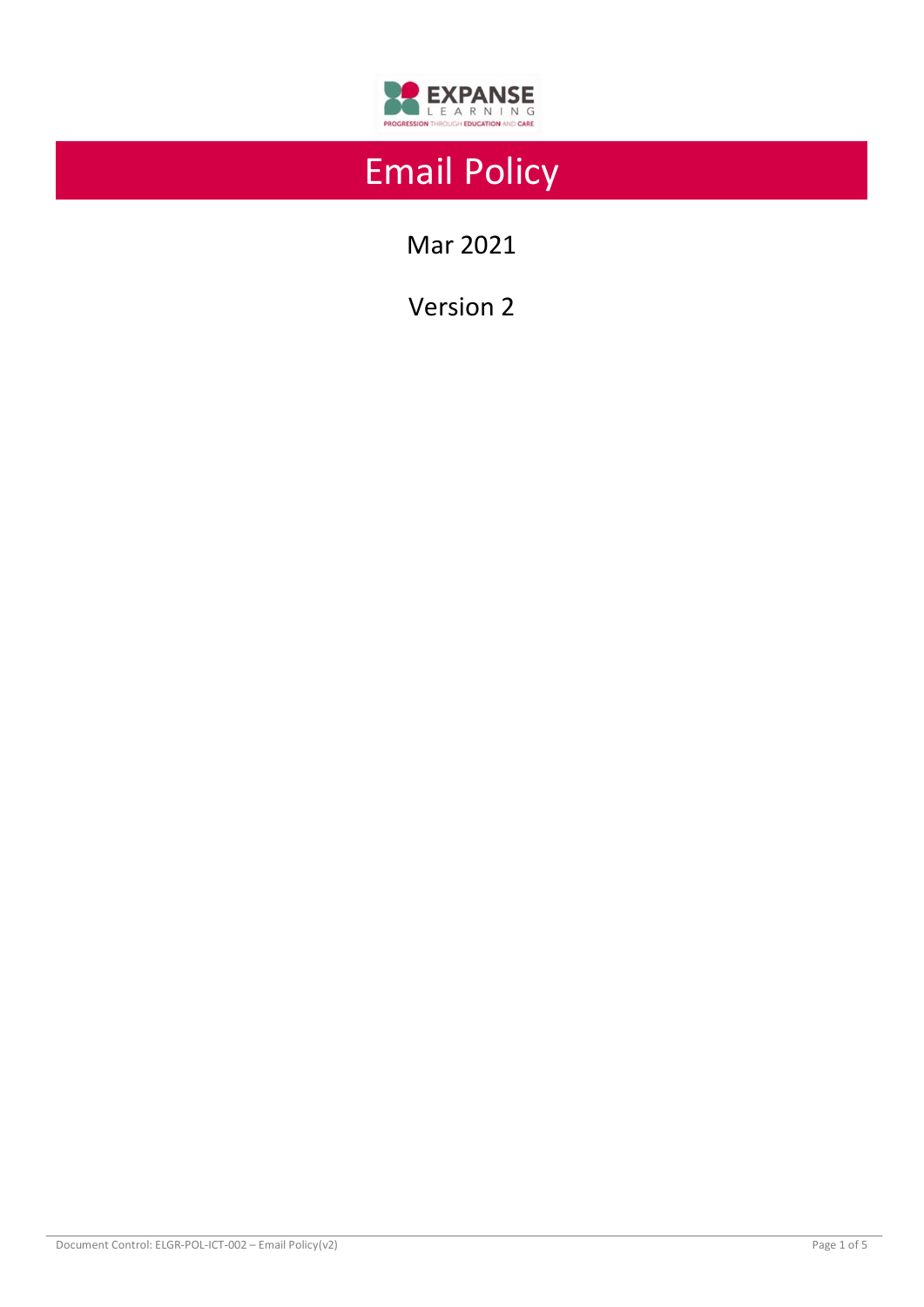

# Email Policy

Mar 2021

Version 2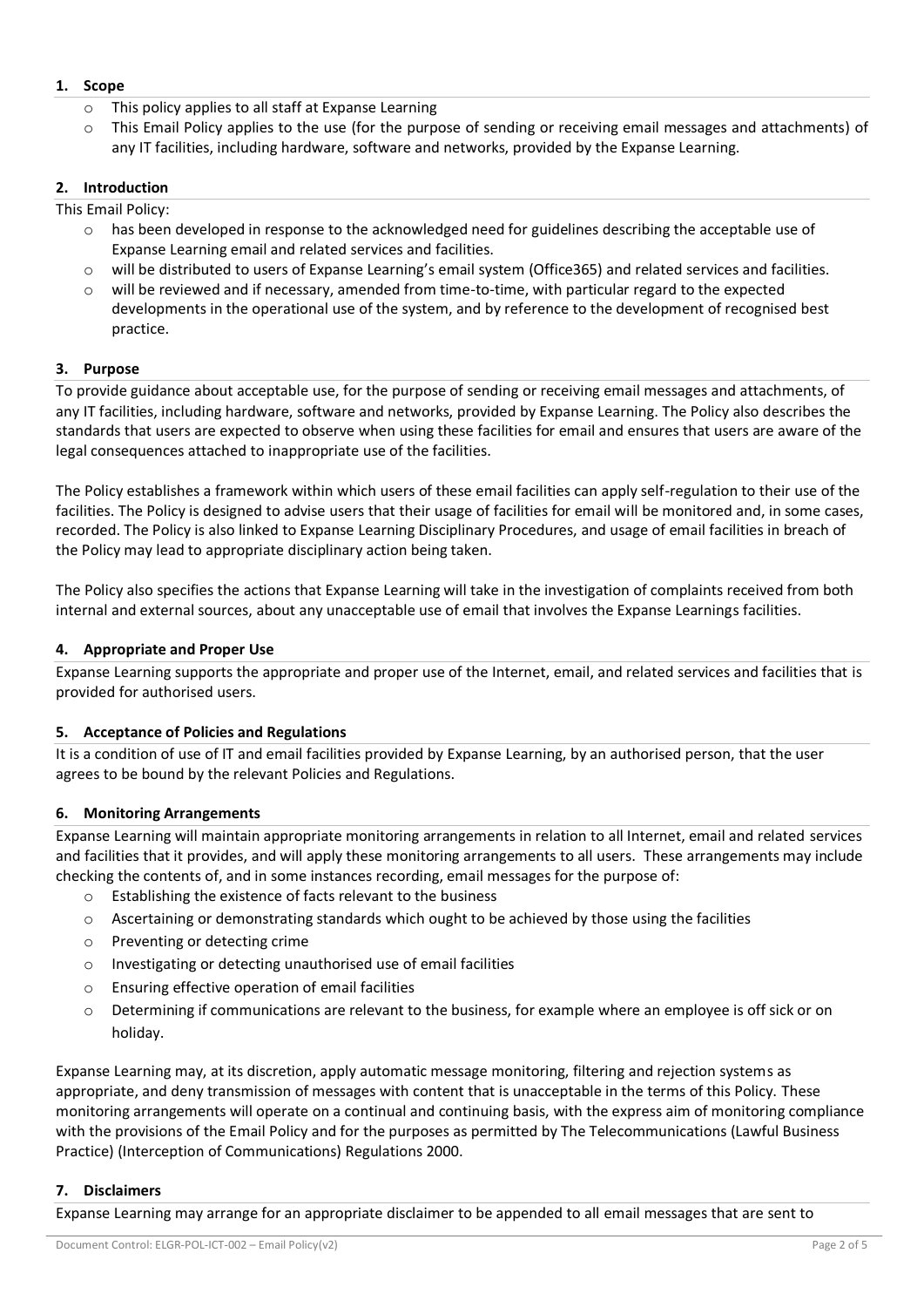## **1. Scope**

- o This policy applies to all staff at Expanse Learning
- o This Email Policy applies to the use (for the purpose of sending or receiving email messages and attachments) of any IT facilities, including hardware, software and networks, provided by the Expanse Learning.

## **2. Introduction**

This Email Policy:

- o has been developed in response to the acknowledged need for guidelines describing the acceptable use of Expanse Learning email and related services and facilities.
- o will be distributed to users of Expanse Learning's email system (Office365) and related services and facilities.
- will be reviewed and if necessary, amended from time-to-time, with particular regard to the expected developments in the operational use of the system, and by reference to the development of recognised best practice.

## **3. Purpose**

To provide guidance about acceptable use, for the purpose of sending or receiving email messages and attachments, of any IT facilities, including hardware, software and networks, provided by Expanse Learning. The Policy also describes the standards that users are expected to observe when using these facilities for email and ensures that users are aware of the legal consequences attached to inappropriate use of the facilities.

The Policy establishes a framework within which users of these email facilities can apply self-regulation to their use of the facilities. The Policy is designed to advise users that their usage of facilities for email will be monitored and, in some cases, recorded. The Policy is also linked to Expanse Learning Disciplinary Procedures, and usage of email facilities in breach of the Policy may lead to appropriate disciplinary action being taken.

The Policy also specifies the actions that Expanse Learning will take in the investigation of complaints received from both internal and external sources, about any unacceptable use of email that involves the Expanse Learnings facilities.

## **4. Appropriate and Proper Use**

Expanse Learning supports the appropriate and proper use of the Internet, email, and related services and facilities that is provided for authorised users.

## **5. Acceptance of Policies and Regulations**

It is a condition of use of IT and email facilities provided by Expanse Learning, by an authorised person, that the user agrees to be bound by the relevant Policies and Regulations.

## **6. Monitoring Arrangements**

Expanse Learning will maintain appropriate monitoring arrangements in relation to all Internet, email and related services and facilities that it provides, and will apply these monitoring arrangements to all users. These arrangements may include checking the contents of, and in some instances recording, email messages for the purpose of:

- o Establishing the existence of facts relevant to the business
- o Ascertaining or demonstrating standards which ought to be achieved by those using the facilities
- o Preventing or detecting crime
- o Investigating or detecting unauthorised use of email facilities
- o Ensuring effective operation of email facilities
- o Determining if communications are relevant to the business, for example where an employee is off sick or on holiday.

Expanse Learning may, at its discretion, apply automatic message monitoring, filtering and rejection systems as appropriate, and deny transmission of messages with content that is unacceptable in the terms of this Policy. These monitoring arrangements will operate on a continual and continuing basis, with the express aim of monitoring compliance with the provisions of the Email Policy and for the purposes as permitted by The Telecommunications (Lawful Business Practice) (Interception of Communications) Regulations 2000.

## **7. Disclaimers**

Expanse Learning may arrange for an appropriate disclaimer to be appended to all email messages that are sent to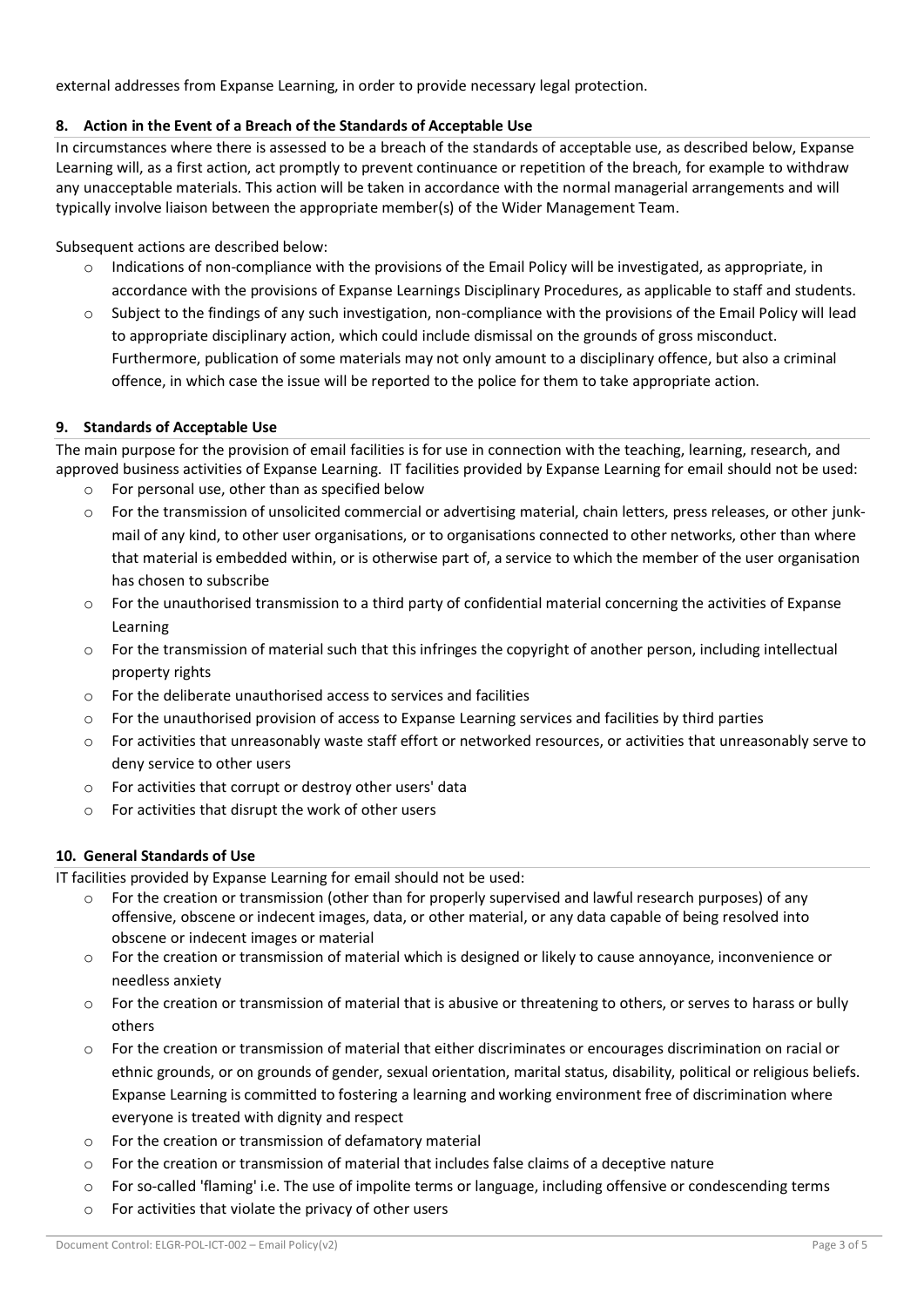external addresses from Expanse Learning, in order to provide necessary legal protection.

# **8. Action in the Event of a Breach of the Standards of Acceptable Use**

In circumstances where there is assessed to be a breach of the standards of acceptable use, as described below, Expanse Learning will, as a first action, act promptly to prevent continuance or repetition of the breach, for example to withdraw any unacceptable materials. This action will be taken in accordance with the normal managerial arrangements and will typically involve liaison between the appropriate member(s) of the Wider Management Team.

Subsequent actions are described below:

- $\circ$  Indications of non-compliance with the provisions of the Email Policy will be investigated, as appropriate, in accordance with the provisions of Expanse Learnings Disciplinary Procedures, as applicable to staff and students.
- Subject to the findings of any such investigation, non-compliance with the provisions of the Email Policy will lead to appropriate disciplinary action, which could include dismissal on the grounds of gross misconduct. Furthermore, publication of some materials may not only amount to a disciplinary offence, but also a criminal offence, in which case the issue will be reported to the police for them to take appropriate action.

## **9. Standards of Acceptable Use**

The main purpose for the provision of email facilities is for use in connection with the teaching, learning, research, and approved business activities of Expanse Learning. IT facilities provided by Expanse Learning for email should not be used:

- o For personal use, other than as specified below
- o For the transmission of unsolicited commercial or advertising material, chain letters, press releases, or other junkmail of any kind, to other user organisations, or to organisations connected to other networks, other than where that material is embedded within, or is otherwise part of, a service to which the member of the user organisation has chosen to subscribe
- $\circ$  For the unauthorised transmission to a third party of confidential material concerning the activities of Expanse Learning
- o For the transmission of material such that this infringes the copyright of another person, including intellectual property rights
- o For the deliberate unauthorised access to services and facilities
- o For the unauthorised provision of access to Expanse Learning services and facilities by third parties
- $\circ$  For activities that unreasonably waste staff effort or networked resources, or activities that unreasonably serve to deny service to other users
- o For activities that corrupt or destroy other users' data
- o For activities that disrupt the work of other users

## **10. General Standards of Use**

IT facilities provided by Expanse Learning for email should not be used:

- For the creation or transmission (other than for properly supervised and lawful research purposes) of any offensive, obscene or indecent images, data, or other material, or any data capable of being resolved into obscene or indecent images or material
- o For the creation or transmission of material which is designed or likely to cause annoyance, inconvenience or needless anxiety
- o For the creation or transmission of material that is abusive or threatening to others, or serves to harass or bully others
- $\circ$  For the creation or transmission of material that either discriminates or encourages discrimination on racial or ethnic grounds, or on grounds of gender, sexual orientation, marital status, disability, political or religious beliefs. Expanse Learning is committed to fostering a learning and working environment free of discrimination where everyone is treated with dignity and respect
- o For the creation or transmission of defamatory material
- $\circ$  For the creation or transmission of material that includes false claims of a deceptive nature
- $\circ$  For so-called 'flaming' i.e. The use of impolite terms or language, including offensive or condescending terms
- o For activities that violate the privacy of other users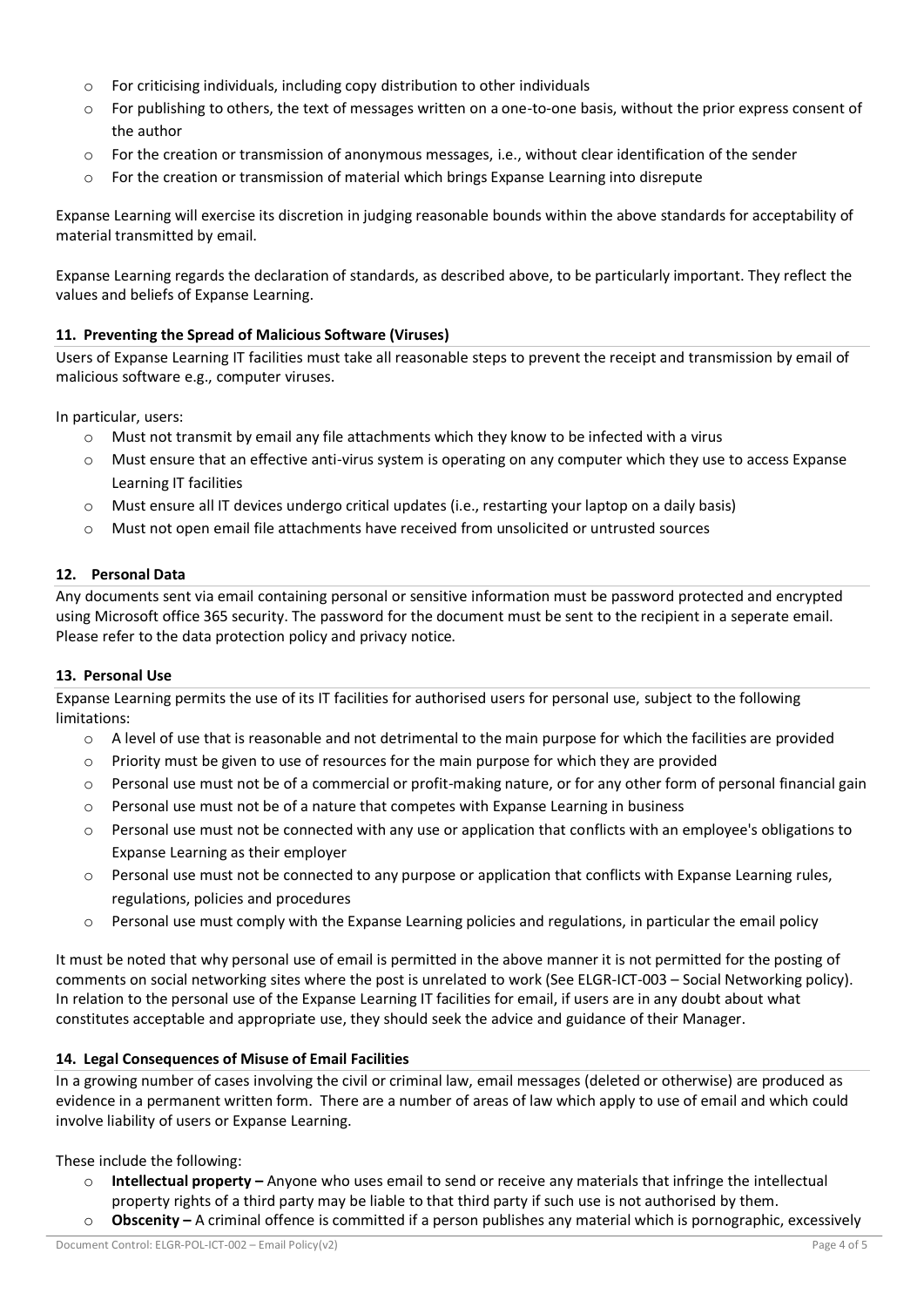- o For criticising individuals, including copy distribution to other individuals
- o For publishing to others, the text of messages written on a one-to-one basis, without the prior express consent of the author
- $\circ$  For the creation or transmission of anonymous messages, i.e., without clear identification of the sender
- $\circ$  For the creation or transmission of material which brings Expanse Learning into disrepute

Expanse Learning will exercise its discretion in judging reasonable bounds within the above standards for acceptability of material transmitted by email.

Expanse Learning regards the declaration of standards, as described above, to be particularly important. They reflect the values and beliefs of Expanse Learning.

## **11. Preventing the Spread of Malicious Software (Viruses)**

Users of Expanse Learning IT facilities must take all reasonable steps to prevent the receipt and transmission by email of malicious software e.g., computer viruses.

In particular, users:

- $\circ$  Must not transmit by email any file attachments which they know to be infected with a virus
- o Must ensure that an effective anti-virus system is operating on any computer which they use to access Expanse Learning IT facilities
- o Must ensure all IT devices undergo critical updates (i.e., restarting your laptop on a daily basis)
- o Must not open email file attachments have received from unsolicited or untrusted sources

## **12. Personal Data**

Any documents sent via email containing personal or sensitive information must be password protected and encrypted using Microsoft office 365 security. The password for the document must be sent to the recipient in a seperate email. Please refer to the data protection policy and privacy notice.

### **13. Personal Use**

Expanse Learning permits the use of its IT facilities for authorised users for personal use, subject to the following limitations:

- o A level of use that is reasonable and not detrimental to the main purpose for which the facilities are provided
- $\circ$  Priority must be given to use of resources for the main purpose for which they are provided
- $\circ$  Personal use must not be of a commercial or profit-making nature, or for any other form of personal financial gain
- o Personal use must not be of a nature that competes with Expanse Learning in business
- $\circ$  Personal use must not be connected with any use or application that conflicts with an employee's obligations to Expanse Learning as their employer
- $\circ$  Personal use must not be connected to any purpose or application that conflicts with Expanse Learning rules, regulations, policies and procedures
- o Personal use must comply with the Expanse Learning policies and regulations, in particular the email policy

It must be noted that why personal use of email is permitted in the above manner it is not permitted for the posting of comments on social networking sites where the post is unrelated to work (See ELGR-ICT-003 – Social Networking policy). In relation to the personal use of the Expanse Learning IT facilities for email, if users are in any doubt about what constitutes acceptable and appropriate use, they should seek the advice and guidance of their Manager.

## **14. Legal Consequences of Misuse of Email Facilities**

In a growing number of cases involving the civil or criminal law, email messages (deleted or otherwise) are produced as evidence in a permanent written form. There are a number of areas of law which apply to use of email and which could involve liability of users or Expanse Learning.

These include the following:

- o **Intellectual property –** Anyone who uses email to send or receive any materials that infringe the intellectual property rights of a third party may be liable to that third party if such use is not authorised by them.
- o **Obscenity –** A criminal offence is committed if a person publishes any material which is pornographic, excessively